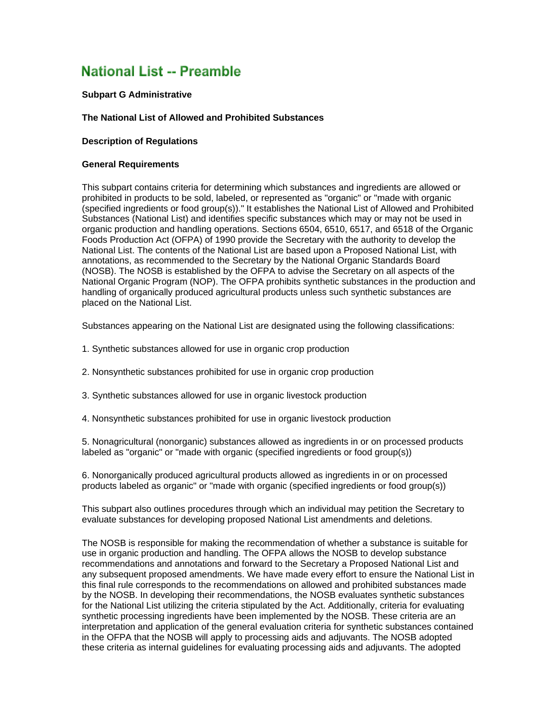# **National List -- Preamble**

## **Subpart G Administrative**

#### **The National List of Allowed and Prohibited Substances**

#### **Description of Regulations**

#### **General Requirements**

This subpart contains criteria for determining which substances and ingredients are allowed or prohibited in products to be sold, labeled, or represented as "organic" or "made with organic (specified ingredients or food group(s))." It establishes the National List of Allowed and Prohibited Substances (National List) and identifies specific substances which may or may not be used in organic production and handling operations. Sections 6504, 6510, 6517, and 6518 of the Organic Foods Production Act (OFPA) of 1990 provide the Secretary with the authority to develop the National List. The contents of the National List are based upon a Proposed National List, with annotations, as recommended to the Secretary by the National Organic Standards Board (NOSB). The NOSB is established by the OFPA to advise the Secretary on all aspects of the National Organic Program (NOP). The OFPA prohibits synthetic substances in the production and handling of organically produced agricultural products unless such synthetic substances are placed on the National List.

Substances appearing on the National List are designated using the following classifications:

- 1. Synthetic substances allowed for use in organic crop production
- 2. Nonsynthetic substances prohibited for use in organic crop production
- 3. Synthetic substances allowed for use in organic livestock production
- 4. Nonsynthetic substances prohibited for use in organic livestock production

5. Nonagricultural (nonorganic) substances allowed as ingredients in or on processed products labeled as "organic" or "made with organic (specified ingredients or food group(s))

6. Nonorganically produced agricultural products allowed as ingredients in or on processed products labeled as organic" or "made with organic (specified ingredients or food group(s))

This subpart also outlines procedures through which an individual may petition the Secretary to evaluate substances for developing proposed National List amendments and deletions.

The NOSB is responsible for making the recommendation of whether a substance is suitable for use in organic production and handling. The OFPA allows the NOSB to develop substance recommendations and annotations and forward to the Secretary a Proposed National List and any subsequent proposed amendments. We have made every effort to ensure the National List in this final rule corresponds to the recommendations on allowed and prohibited substances made by the NOSB. In developing their recommendations, the NOSB evaluates synthetic substances for the National List utilizing the criteria stipulated by the Act. Additionally, criteria for evaluating synthetic processing ingredients have been implemented by the NOSB. These criteria are an interpretation and application of the general evaluation criteria for synthetic substances contained in the OFPA that the NOSB will apply to processing aids and adjuvants. The NOSB adopted these criteria as internal guidelines for evaluating processing aids and adjuvants. The adopted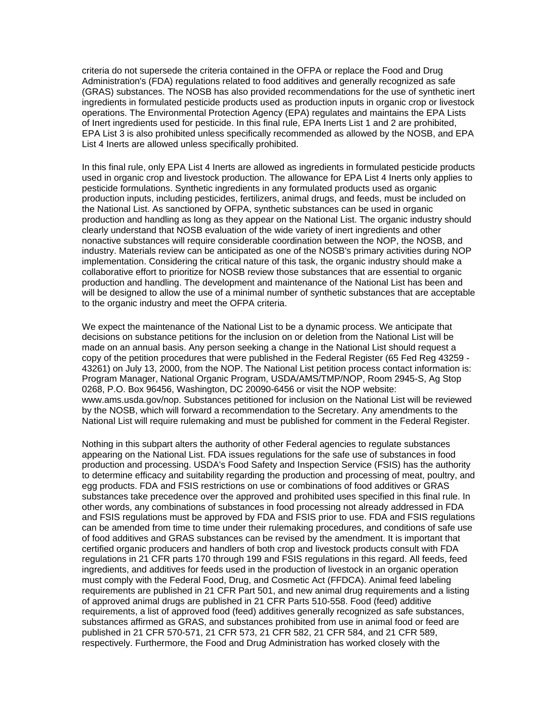criteria do not supersede the criteria contained in the OFPA or replace the Food and Drug Administration's (FDA) regulations related to food additives and generally recognized as safe (GRAS) substances. The NOSB has also provided recommendations for the use of synthetic inert ingredients in formulated pesticide products used as production inputs in organic crop or livestock operations. The Environmental Protection Agency (EPA) regulates and maintains the EPA Lists of Inert ingredients used for pesticide. In this final rule, EPA Inerts List 1 and 2 are prohibited, EPA List 3 is also prohibited unless specifically recommended as allowed by the NOSB, and EPA List 4 Inerts are allowed unless specifically prohibited.

In this final rule, only EPA List 4 Inerts are allowed as ingredients in formulated pesticide products used in organic crop and livestock production. The allowance for EPA List 4 Inerts only applies to pesticide formulations. Synthetic ingredients in any formulated products used as organic production inputs, including pesticides, fertilizers, animal drugs, and feeds, must be included on the National List. As sanctioned by OFPA, synthetic substances can be used in organic production and handling as long as they appear on the National List. The organic industry should clearly understand that NOSB evaluation of the wide variety of inert ingredients and other nonactive substances will require considerable coordination between the NOP, the NOSB, and industry. Materials review can be anticipated as one of the NOSB's primary activities during NOP implementation. Considering the critical nature of this task, the organic industry should make a collaborative effort to prioritize for NOSB review those substances that are essential to organic production and handling. The development and maintenance of the National List has been and will be designed to allow the use of a minimal number of synthetic substances that are acceptable to the organic industry and meet the OFPA criteria.

We expect the maintenance of the National List to be a dynamic process. We anticipate that decisions on substance petitions for the inclusion on or deletion from the National List will be made on an annual basis. Any person seeking a change in the National List should request a copy of the petition procedures that were published in the Federal Register (65 Fed Reg 43259 - 43261) on July 13, 2000, from the NOP. The National List petition process contact information is: Program Manager, National Organic Program, USDA/AMS/TMP/NOP, Room 2945-S, Ag Stop 0268, P.O. Box 96456, Washington, DC 20090-6456 or visit the NOP website: www.ams.usda.gov/nop. Substances petitioned for inclusion on the National List will be reviewed by the NOSB, which will forward a recommendation to the Secretary. Any amendments to the National List will require rulemaking and must be published for comment in the Federal Register.

Nothing in this subpart alters the authority of other Federal agencies to regulate substances appearing on the National List. FDA issues regulations for the safe use of substances in food production and processing. USDA's Food Safety and Inspection Service (FSIS) has the authority to determine efficacy and suitability regarding the production and processing of meat, poultry, and egg products. FDA and FSIS restrictions on use or combinations of food additives or GRAS substances take precedence over the approved and prohibited uses specified in this final rule. In other words, any combinations of substances in food processing not already addressed in FDA and FSIS regulations must be approved by FDA and FSIS prior to use. FDA and FSIS regulations can be amended from time to time under their rulemaking procedures, and conditions of safe use of food additives and GRAS substances can be revised by the amendment. It is important that certified organic producers and handlers of both crop and livestock products consult with FDA regulations in 21 CFR parts 170 through 199 and FSIS regulations in this regard. All feeds, feed ingredients, and additives for feeds used in the production of livestock in an organic operation must comply with the Federal Food, Drug, and Cosmetic Act (FFDCA). Animal feed labeling requirements are published in 21 CFR Part 501, and new animal drug requirements and a listing of approved animal drugs are published in 21 CFR Parts 510-558. Food (feed) additive requirements, a list of approved food (feed) additives generally recognized as safe substances, substances affirmed as GRAS, and substances prohibited from use in animal food or feed are published in 21 CFR 570-571, 21 CFR 573, 21 CFR 582, 21 CFR 584, and 21 CFR 589, respectively. Furthermore, the Food and Drug Administration has worked closely with the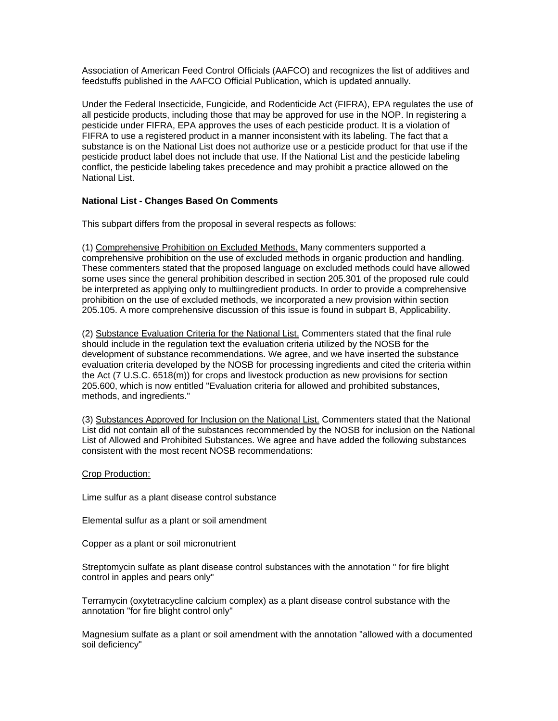Association of American Feed Control Officials (AAFCO) and recognizes the list of additives and feedstuffs published in the AAFCO Official Publication, which is updated annually.

Under the Federal Insecticide, Fungicide, and Rodenticide Act (FIFRA), EPA regulates the use of all pesticide products, including those that may be approved for use in the NOP. In registering a pesticide under FIFRA, EPA approves the uses of each pesticide product. It is a violation of FIFRA to use a registered product in a manner inconsistent with its labeling. The fact that a substance is on the National List does not authorize use or a pesticide product for that use if the pesticide product label does not include that use. If the National List and the pesticide labeling conflict, the pesticide labeling takes precedence and may prohibit a practice allowed on the National List.

# **National List - Changes Based On Comments**

This subpart differs from the proposal in several respects as follows:

(1) Comprehensive Prohibition on Excluded Methods. Many commenters supported a comprehensive prohibition on the use of excluded methods in organic production and handling. These commenters stated that the proposed language on excluded methods could have allowed some uses since the general prohibition described in section 205.301 of the proposed rule could be interpreted as applying only to multiingredient products. In order to provide a comprehensive prohibition on the use of excluded methods, we incorporated a new provision within section 205.105. A more comprehensive discussion of this issue is found in subpart B, Applicability.

(2) Substance Evaluation Criteria for the National List. Commenters stated that the final rule should include in the regulation text the evaluation criteria utilized by the NOSB for the development of substance recommendations. We agree, and we have inserted the substance evaluation criteria developed by the NOSB for processing ingredients and cited the criteria within the Act (7 U.S.C. 6518(m)) for crops and livestock production as new provisions for section 205.600, which is now entitled "Evaluation criteria for allowed and prohibited substances, methods, and ingredients."

(3) Substances Approved for Inclusion on the National List. Commenters stated that the National List did not contain all of the substances recommended by the NOSB for inclusion on the National List of Allowed and Prohibited Substances. We agree and have added the following substances consistent with the most recent NOSB recommendations:

## Crop Production:

Lime sulfur as a plant disease control substance

Elemental sulfur as a plant or soil amendment

Copper as a plant or soil micronutrient

Streptomycin sulfate as plant disease control substances with the annotation " for fire blight control in apples and pears only"

Terramycin (oxytetracycline calcium complex) as a plant disease control substance with the annotation "for fire blight control only"

Magnesium sulfate as a plant or soil amendment with the annotation "allowed with a documented soil deficiency"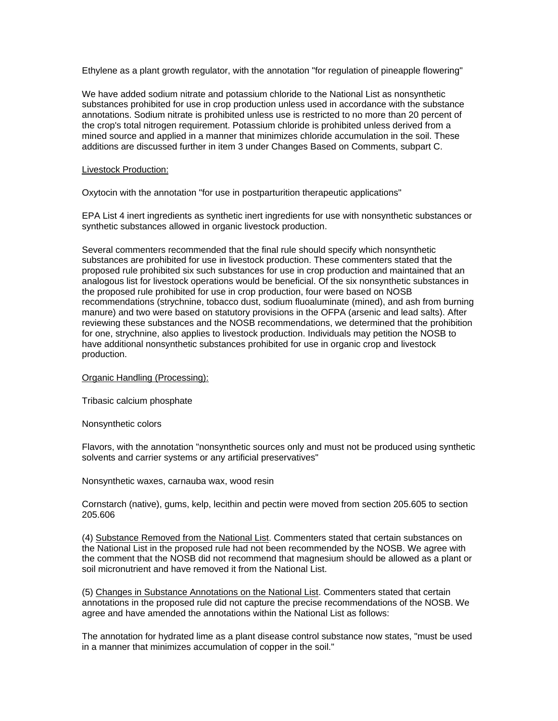Ethylene as a plant growth regulator, with the annotation "for regulation of pineapple flowering"

We have added sodium nitrate and potassium chloride to the National List as nonsynthetic substances prohibited for use in crop production unless used in accordance with the substance annotations. Sodium nitrate is prohibited unless use is restricted to no more than 20 percent of the crop's total nitrogen requirement. Potassium chloride is prohibited unless derived from a mined source and applied in a manner that minimizes chloride accumulation in the soil. These additions are discussed further in item 3 under Changes Based on Comments, subpart C.

## Livestock Production:

Oxytocin with the annotation "for use in postparturition therapeutic applications"

EPA List 4 inert ingredients as synthetic inert ingredients for use with nonsynthetic substances or synthetic substances allowed in organic livestock production.

Several commenters recommended that the final rule should specify which nonsynthetic substances are prohibited for use in livestock production. These commenters stated that the proposed rule prohibited six such substances for use in crop production and maintained that an analogous list for livestock operations would be beneficial. Of the six nonsynthetic substances in the proposed rule prohibited for use in crop production, four were based on NOSB recommendations (strychnine, tobacco dust, sodium fluoaluminate (mined), and ash from burning manure) and two were based on statutory provisions in the OFPA (arsenic and lead salts). After reviewing these substances and the NOSB recommendations, we determined that the prohibition for one, strychnine, also applies to livestock production. Individuals may petition the NOSB to have additional nonsynthetic substances prohibited for use in organic crop and livestock production.

Organic Handling (Processing):

Tribasic calcium phosphate

Nonsynthetic colors

Flavors, with the annotation "nonsynthetic sources only and must not be produced using synthetic solvents and carrier systems or any artificial preservatives"

Nonsynthetic waxes, carnauba wax, wood resin

Cornstarch (native), gums, kelp, lecithin and pectin were moved from section 205.605 to section 205.606

(4) Substance Removed from the National List. Commenters stated that certain substances on the National List in the proposed rule had not been recommended by the NOSB. We agree with the comment that the NOSB did not recommend that magnesium should be allowed as a plant or soil micronutrient and have removed it from the National List.

(5) Changes in Substance Annotations on the National List. Commenters stated that certain annotations in the proposed rule did not capture the precise recommendations of the NOSB. We agree and have amended the annotations within the National List as follows:

The annotation for hydrated lime as a plant disease control substance now states, "must be used in a manner that minimizes accumulation of copper in the soil."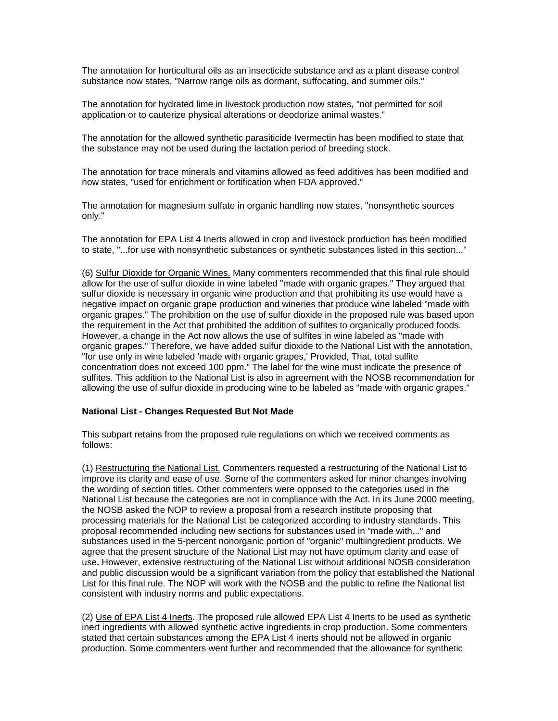The annotation for horticultural oils as an insecticide substance and as a plant disease control substance now states, "Narrow range oils as dormant, suffocating, and summer oils."

The annotation for hydrated lime in livestock production now states, "not permitted for soil application or to cauterize physical alterations or deodorize animal wastes."

The annotation for the allowed synthetic parasiticide Ivermectin has been modified to state that the substance may not be used during the lactation period of breeding stock.

The annotation for trace minerals and vitamins allowed as feed additives has been modified and now states, "used for enrichment or fortification when FDA approved."

The annotation for magnesium sulfate in organic handling now states, "nonsynthetic sources only."

The annotation for EPA List 4 Inerts allowed in crop and livestock production has been modified to state, "...for use with nonsynthetic substances or synthetic substances listed in this section..."

(6) Sulfur Dioxide for Organic Wines. Many commenters recommended that this final rule should allow for the use of sulfur dioxide in wine labeled "made with organic grapes." They argued that sulfur dioxide is necessary in organic wine production and that prohibiting its use would have a negative impact on organic grape production and wineries that produce wine labeled "made with organic grapes." The prohibition on the use of sulfur dioxide in the proposed rule was based upon the requirement in the Act that prohibited the addition of sulfites to organically produced foods. However, a change in the Act now allows the use of sulfites in wine labeled as "made with organic grapes." Therefore, we have added sulfur dioxide to the National List with the annotation, "for use only in wine labeled 'made with organic grapes,' Provided, That, total sulfite concentration does not exceed 100 ppm." The label for the wine must indicate the presence of sulfites. This addition to the National List is also in agreement with the NOSB recommendation for allowing the use of sulfur dioxide in producing wine to be labeled as "made with organic grapes."

## **National List - Changes Requested But Not Made**

This subpart retains from the proposed rule regulations on which we received comments as follows:

(1) Restructuring the National List. Commenters requested a restructuring of the National List to improve its clarity and ease of use. Some of the commenters asked for minor changes involving the wording of section titles. Other commenters were opposed to the categories used in the National List because the categories are not in compliance with the Act. In its June 2000 meeting, the NOSB asked the NOP to review a proposal from a research institute proposing that processing materials for the National List be categorized according to industry standards. This proposal recommended including new sections for substances used in "made with..." and substances used in the 5-percent nonorganic portion of "organic" multiingredient products. We agree that the present structure of the National List may not have optimum clarity and ease of use**.** However, extensive restructuring of the National List without additional NOSB consideration and public discussion would be a significant variation from the policy that established the National List for this final rule. The NOP will work with the NOSB and the public to refine the National list consistent with industry norms and public expectations.

(2) Use of EPA List 4 Inerts. The proposed rule allowed EPA List 4 Inerts to be used as synthetic inert ingredients with allowed synthetic active ingredients in crop production. Some commenters stated that certain substances among the EPA List 4 inerts should not be allowed in organic production. Some commenters went further and recommended that the allowance for synthetic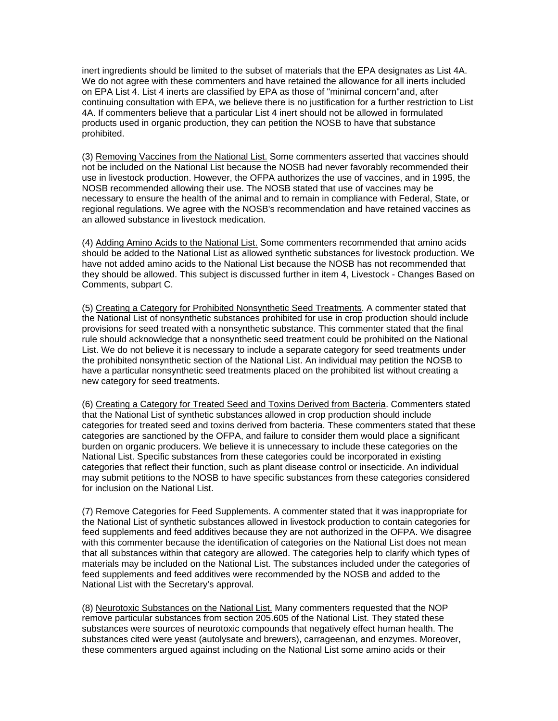inert ingredients should be limited to the subset of materials that the EPA designates as List 4A. We do not agree with these commenters and have retained the allowance for all inerts included on EPA List 4. List 4 inerts are classified by EPA as those of "minimal concern"and, after continuing consultation with EPA, we believe there is no justification for a further restriction to List 4A. If commenters believe that a particular List 4 inert should not be allowed in formulated products used in organic production, they can petition the NOSB to have that substance prohibited.

(3) Removing Vaccines from the National List. Some commenters asserted that vaccines should not be included on the National List because the NOSB had never favorably recommended their use in livestock production. However, the OFPA authorizes the use of vaccines, and in 1995, the NOSB recommended allowing their use. The NOSB stated that use of vaccines may be necessary to ensure the health of the animal and to remain in compliance with Federal, State, or regional regulations. We agree with the NOSB's recommendation and have retained vaccines as an allowed substance in livestock medication.

(4) Adding Amino Acids to the National List. Some commenters recommended that amino acids should be added to the National List as allowed synthetic substances for livestock production. We have not added amino acids to the National List because the NOSB has not recommended that they should be allowed. This subject is discussed further in item 4, Livestock - Changes Based on Comments, subpart C.

(5) Creating a Category for Prohibited Nonsynthetic Seed Treatments. A commenter stated that the National List of nonsynthetic substances prohibited for use in crop production should include provisions for seed treated with a nonsynthetic substance. This commenter stated that the final rule should acknowledge that a nonsynthetic seed treatment could be prohibited on the National List. We do not believe it is necessary to include a separate category for seed treatments under the prohibited nonsynthetic section of the National List. An individual may petition the NOSB to have a particular nonsynthetic seed treatments placed on the prohibited list without creating a new category for seed treatments.

(6) Creating a Category for Treated Seed and Toxins Derived from Bacteria. Commenters stated that the National List of synthetic substances allowed in crop production should include categories for treated seed and toxins derived from bacteria. These commenters stated that these categories are sanctioned by the OFPA, and failure to consider them would place a significant burden on organic producers. We believe it is unnecessary to include these categories on the National List. Specific substances from these categories could be incorporated in existing categories that reflect their function, such as plant disease control or insecticide. An individual may submit petitions to the NOSB to have specific substances from these categories considered for inclusion on the National List.

(7) Remove Categories for Feed Supplements. A commenter stated that it was inappropriate for the National List of synthetic substances allowed in livestock production to contain categories for feed supplements and feed additives because they are not authorized in the OFPA. We disagree with this commenter because the identification of categories on the National List does not mean that all substances within that category are allowed. The categories help to clarify which types of materials may be included on the National List. The substances included under the categories of feed supplements and feed additives were recommended by the NOSB and added to the National List with the Secretary's approval.

(8) Neurotoxic Substances on the National List. Many commenters requested that the NOP remove particular substances from section 205.605 of the National List. They stated these substances were sources of neurotoxic compounds that negatively effect human health. The substances cited were yeast (autolysate and brewers), carrageenan, and enzymes. Moreover, these commenters argued against including on the National List some amino acids or their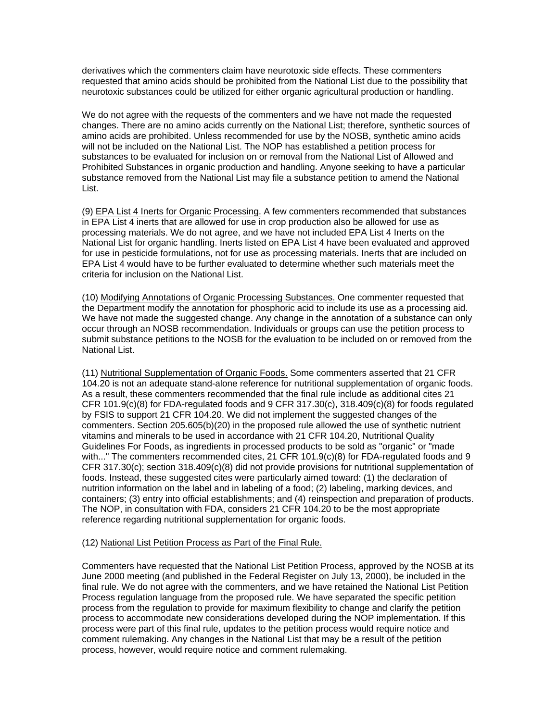derivatives which the commenters claim have neurotoxic side effects. These commenters requested that amino acids should be prohibited from the National List due to the possibility that neurotoxic substances could be utilized for either organic agricultural production or handling.

We do not agree with the requests of the commenters and we have not made the requested changes. There are no amino acids currently on the National List; therefore, synthetic sources of amino acids are prohibited. Unless recommended for use by the NOSB, synthetic amino acids will not be included on the National List. The NOP has established a petition process for substances to be evaluated for inclusion on or removal from the National List of Allowed and Prohibited Substances in organic production and handling. Anyone seeking to have a particular substance removed from the National List may file a substance petition to amend the National List.

(9) EPA List 4 Inerts for Organic Processing. A few commenters recommended that substances in EPA List 4 inerts that are allowed for use in crop production also be allowed for use as processing materials. We do not agree, and we have not included EPA List 4 Inerts on the National List for organic handling. Inerts listed on EPA List 4 have been evaluated and approved for use in pesticide formulations, not for use as processing materials. Inerts that are included on EPA List 4 would have to be further evaluated to determine whether such materials meet the criteria for inclusion on the National List.

(10) Modifying Annotations of Organic Processing Substances. One commenter requested that the Department modify the annotation for phosphoric acid to include its use as a processing aid. We have not made the suggested change. Any change in the annotation of a substance can only occur through an NOSB recommendation. Individuals or groups can use the petition process to submit substance petitions to the NOSB for the evaluation to be included on or removed from the National List.

(11) Nutritional Supplementation of Organic Foods. Some commenters asserted that 21 CFR 104.20 is not an adequate stand-alone reference for nutritional supplementation of organic foods. As a result, these commenters recommended that the final rule include as additional cites 21 CFR 101.9(c)(8) for FDA-regulated foods and 9 CFR 317.30(c), 318.409(c)(8) for foods regulated by FSIS to support 21 CFR 104.20. We did not implement the suggested changes of the commenters. Section 205.605(b)(20) in the proposed rule allowed the use of synthetic nutrient vitamins and minerals to be used in accordance with 21 CFR 104.20, Nutritional Quality Guidelines For Foods, as ingredients in processed products to be sold as "organic" or "made with..." The commenters recommended cites, 21 CFR 101.9(c)(8) for FDA-regulated foods and 9 CFR 317.30(c); section 318.409(c)(8) did not provide provisions for nutritional supplementation of foods. Instead, these suggested cites were particularly aimed toward: (1) the declaration of nutrition information on the label and in labeling of a food; (2) labeling, marking devices, and containers; (3) entry into official establishments; and (4) reinspection and preparation of products. The NOP, in consultation with FDA, considers 21 CFR 104.20 to be the most appropriate reference regarding nutritional supplementation for organic foods.

## (12) National List Petition Process as Part of the Final Rule.

Commenters have requested that the National List Petition Process, approved by the NOSB at its June 2000 meeting (and published in the Federal Register on July 13, 2000), be included in the final rule. We do not agree with the commenters, and we have retained the National List Petition Process regulation language from the proposed rule. We have separated the specific petition process from the regulation to provide for maximum flexibility to change and clarify the petition process to accommodate new considerations developed during the NOP implementation. If this process were part of this final rule, updates to the petition process would require notice and comment rulemaking. Any changes in the National List that may be a result of the petition process, however, would require notice and comment rulemaking.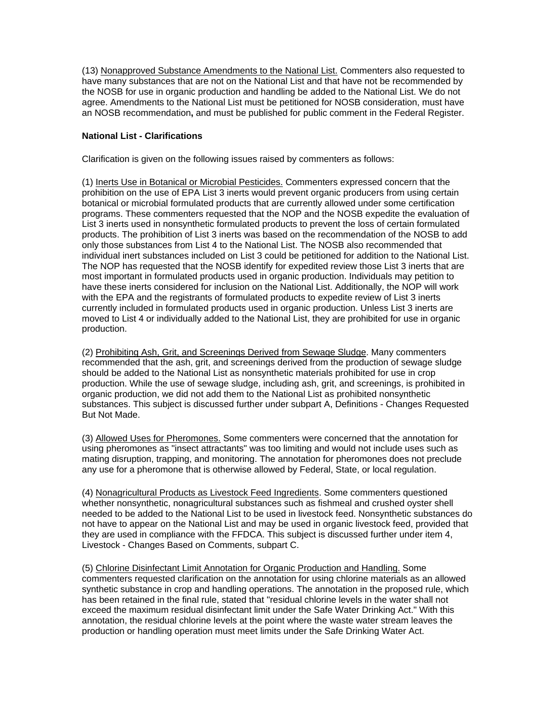(13) Nonapproved Substance Amendments to the National List. Commenters also requested to have many substances that are not on the National List and that have not be recommended by the NOSB for use in organic production and handling be added to the National List. We do not agree. Amendments to the National List must be petitioned for NOSB consideration, must have an NOSB recommendation**,** and must be published for public comment in the Federal Register.

# **National List - Clarifications**

Clarification is given on the following issues raised by commenters as follows:

(1) Inerts Use in Botanical or Microbial Pesticides. Commenters expressed concern that the prohibition on the use of EPA List 3 inerts would prevent organic producers from using certain botanical or microbial formulated products that are currently allowed under some certification programs. These commenters requested that the NOP and the NOSB expedite the evaluation of List 3 inerts used in nonsynthetic formulated products to prevent the loss of certain formulated products. The prohibition of List 3 inerts was based on the recommendation of the NOSB to add only those substances from List 4 to the National List. The NOSB also recommended that individual inert substances included on List 3 could be petitioned for addition to the National List. The NOP has requested that the NOSB identify for expedited review those List 3 inerts that are most important in formulated products used in organic production. Individuals may petition to have these inerts considered for inclusion on the National List. Additionally, the NOP will work with the EPA and the registrants of formulated products to expedite review of List 3 inerts currently included in formulated products used in organic production. Unless List 3 inerts are moved to List 4 or individually added to the National List, they are prohibited for use in organic production.

(2) Prohibiting Ash, Grit, and Screenings Derived from Sewage Sludge. Many commenters recommended that the ash, grit, and screenings derived from the production of sewage sludge should be added to the National List as nonsynthetic materials prohibited for use in crop production. While the use of sewage sludge, including ash, grit, and screenings, is prohibited in organic production, we did not add them to the National List as prohibited nonsynthetic substances. This subject is discussed further under subpart A, Definitions - Changes Requested But Not Made.

(3) Allowed Uses for Pheromones. Some commenters were concerned that the annotation for using pheromones as "insect attractants" was too limiting and would not include uses such as mating disruption, trapping, and monitoring. The annotation for pheromones does not preclude any use for a pheromone that is otherwise allowed by Federal, State, or local regulation.

(4) Nonagricultural Products as Livestock Feed Ingredients. Some commenters questioned whether nonsynthetic, nonagricultural substances such as fishmeal and crushed oyster shell needed to be added to the National List to be used in livestock feed. Nonsynthetic substances do not have to appear on the National List and may be used in organic livestock feed, provided that they are used in compliance with the FFDCA. This subject is discussed further under item 4, Livestock - Changes Based on Comments, subpart C.

(5) Chlorine Disinfectant Limit Annotation for Organic Production and Handling. Some commenters requested clarification on the annotation for using chlorine materials as an allowed synthetic substance in crop and handling operations. The annotation in the proposed rule, which has been retained in the final rule, stated that "residual chlorine levels in the water shall not exceed the maximum residual disinfectant limit under the Safe Water Drinking Act." With this annotation, the residual chlorine levels at the point where the waste water stream leaves the production or handling operation must meet limits under the Safe Drinking Water Act.